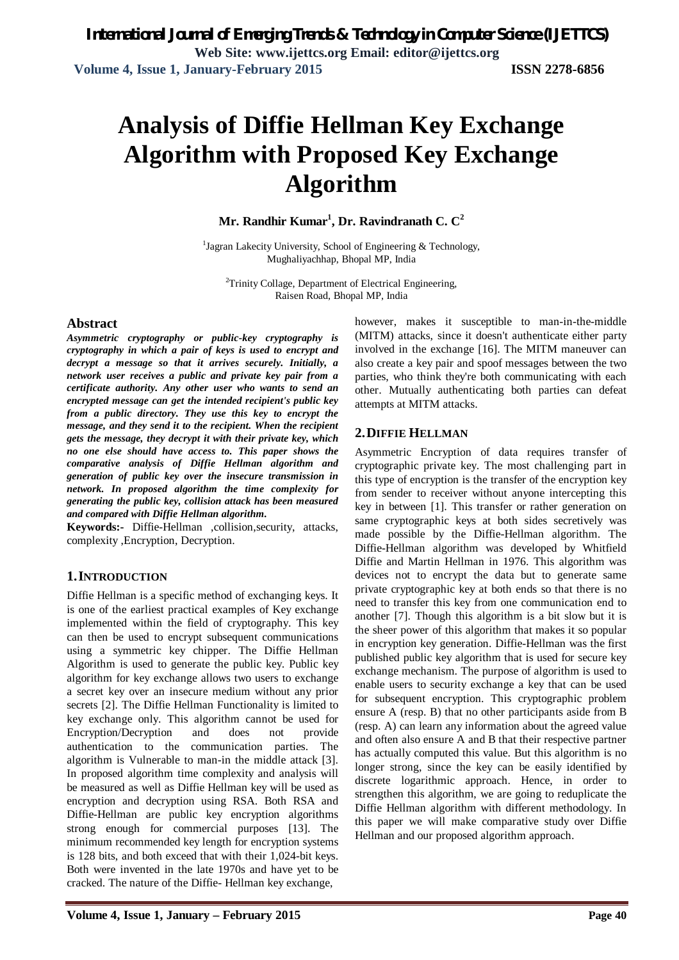# **Analysis of Diffie Hellman Key Exchange Algorithm with Proposed Key Exchange Algorithm**

**Mr. Randhir Kumar<sup>1</sup> , Dr. Ravindranath C. C<sup>2</sup>**

<sup>1</sup>Jagran Lakecity University, School of Engineering & Technology, Mughaliyachhap, Bhopal MP, India

<sup>2</sup>Trinity Collage, Department of Electrical Engineering, Raisen Road, Bhopal MP, India

#### **Abstract**

*Asymmetric cryptography or public-key cryptography is cryptography in which a pair of keys is used to encrypt and decrypt a message so that it arrives securely. Initially, a network user receives a public and private key pair from a certificate authority. Any other user who wants to send an encrypted message can get the intended recipient's public key from a public directory. They use this key to encrypt the message, and they send it to the recipient. When the recipient gets the message, they decrypt it with their private key, which no one else should have access to. This paper shows the comparative analysis of Diffie Hellman algorithm and generation of public key over the insecure transmission in network. In proposed algorithm the time complexity for generating the public key, collision attack has been measured and compared with Diffie Hellman algorithm.* 

**Keywords:-** Diffie-Hellman ,collision,security, attacks, complexity ,Encryption, Decryption.

# **1.INTRODUCTION**

Diffie Hellman is a specific method of exchanging keys. It is one of the earliest practical examples of Key exchange implemented within the field of cryptography. This key can then be used to encrypt subsequent communications using a symmetric key chipper. The Diffie Hellman Algorithm is used to generate the public key. Public key algorithm for key exchange allows two users to exchange a secret key over an insecure medium without any prior secrets [2]. The Diffie Hellman Functionality is limited to key exchange only. This algorithm cannot be used for Encryption/Decryption and does not provide authentication to the communication parties. The algorithm is Vulnerable to man-in the middle attack [3]. In proposed algorithm time complexity and analysis will be measured as well as Diffie Hellman key will be used as encryption and decryption using RSA. Both RSA and Diffie-Hellman are public key encryption algorithms strong enough for commercial purposes [13]. The minimum recommended key length for encryption systems is 128 bits, and both exceed that with their 1,024-bit keys. Both were invented in the late 1970s and have yet to be cracked. The nature of the Diffie- Hellman key exchange,

however, makes it susceptible to man-in-the-middle (MITM) attacks, since it doesn't authenticate either party involved in the exchange [16]. The MITM maneuver can also create a key pair and spoof messages between the two parties, who think they're both communicating with each other. Mutually authenticating both parties can defeat attempts at MITM attacks.

# **2.DIFFIE HELLMAN**

Asymmetric Encryption of data requires transfer of cryptographic private key. The most challenging part in this type of encryption is the transfer of the encryption key from sender to receiver without anyone intercepting this key in between [1]. This transfer or rather generation on same cryptographic keys at both sides secretively was made possible by the Diffie-Hellman algorithm. The Diffie-Hellman algorithm was developed by Whitfield Diffie and Martin Hellman in 1976. This algorithm was devices not to encrypt the data but to generate same private cryptographic key at both ends so that there is no need to transfer this key from one communication end to another [7]. Though this algorithm is a bit slow but it is the sheer power of this algorithm that makes it so popular in encryption key generation. Diffie-Hellman was the first published public key algorithm that is used for secure key exchange mechanism. The purpose of algorithm is used to enable users to security exchange a key that can be used for subsequent encryption. This cryptographic problem ensure A (resp. B) that no other participants aside from B (resp. A) can learn any information about the agreed value and often also ensure A and B that their respective partner has actually computed this value. But this algorithm is no longer strong, since the key can be easily identified by discrete logarithmic approach. Hence, in order to strengthen this algorithm, we are going to reduplicate the Diffie Hellman algorithm with different methodology. In this paper we will make comparative study over Diffie Hellman and our proposed algorithm approach.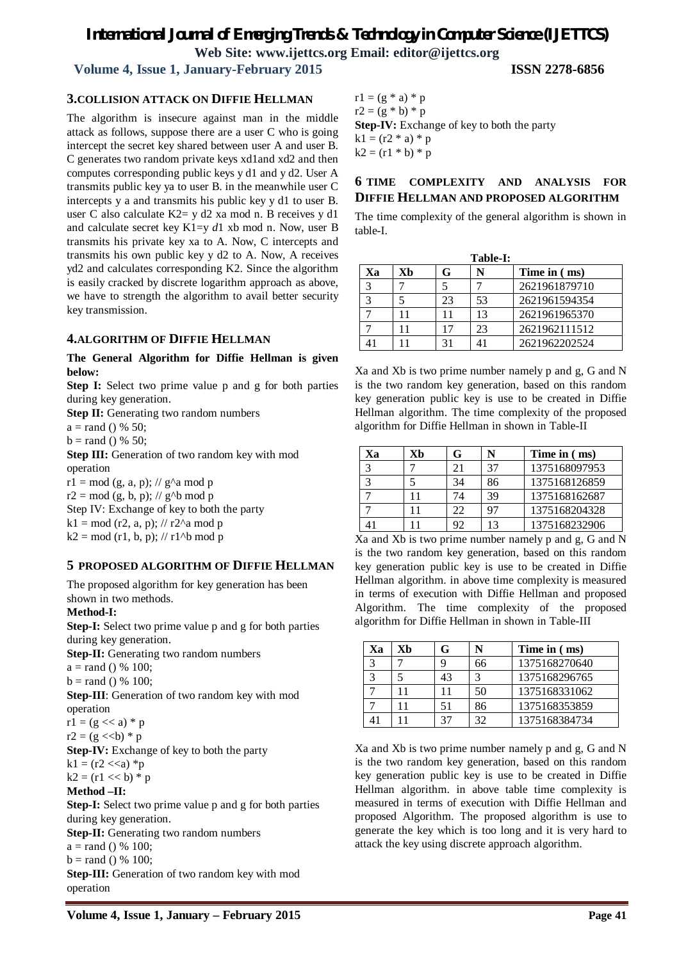# *International Journal of Emerging Trends & Technology in Computer Science (IJETTCS)*

**Web Site: www.ijettcs.org Email: editor@ijettcs.org** 

### **Volume 4, Issue 1, January-February 2015 ISSN 2278-6856**

#### **3.COLLISION ATTACK ON DIFFIE HELLMAN**

The algorithm is insecure against man in the middle attack as follows, suppose there are a user C who is going intercept the secret key shared between user A and user B. C generates two random private keys xd1and xd2 and then computes corresponding public keys y d1 and y d2. User A transmits public key ya to user B. in the meanwhile user C intercepts y a and transmits his public key y d1 to user B. user C also calculate K2= y d2 xa mod n. B receives y d1 and calculate secret key K1=y *d*1 xb mod n. Now, user B transmits his private key xa to A. Now, C intercepts and transmits his own public key y d2 to A. Now, A receives yd2 and calculates corresponding K2. Since the algorithm is easily cracked by discrete logarithm approach as above, we have to strength the algorithm to avail better security key transmission.

#### **4.ALGORITHM OF DIFFIE HELLMAN**

#### **The General Algorithm for Diffie Hellman is given below:**

**Step I:** Select two prime value p and g for both parties during key generation.

**Step II:** Generating two random numbers

 $a = \text{rand}$  () % 50;

 $b = rand() % 50;$ 

**Step III:** Generation of two random key with mod operation  $r1 = mod (g, a, p)$ ; //  $g^{\Lambda}a mod p$ 

 $r2 = mod (g, b, p)$ ; // g^b mod p

Step IV: Exchange of key to both the party

 $k1 = mod (r2, a, p); // r2^a mod p$ 

 $k2 = mod (r1, b, p); // r1<sup>^</sup>b mod p$ 

#### **5 PROPOSED ALGORITHM OF DIFFIE HELLMAN**

The proposed algorithm for key generation has been shown in two methods.

#### **Method-I:**

**Step-I:** Select two prime value p and g for both parties during key generation. **Step-II:** Generating two random numbers

 $a = \text{rand}$  () % 100;

 $b = \text{rand}$  () % 100:

**Step-III**: Generation of two random key with mod operation

 $r1 = (g \ll a) * p$ 

 $r2 = (g \ll b) * p$ 

**Step-IV:** Exchange of key to both the party  $k1 = (r2 \ll a) *p$ 

$$
k1 = (12 \times 4) +
$$
  

$$
k2 = (r1 \times 6) +
$$

 $k2 = (r1 \ll b) * p$ 

**Method –II:**

**Step-I:** Select two prime value p and g for both parties during key generation.

**Step-II:** Generating two random numbers

 $a = \text{rand}() % 100;$ 

 $b = \text{rand}$  () % 100;

**Step-III:** Generation of two random key with mod operation

 $r1 = (g * a) * p$  $r2 = (g * b) * p$ **Step-IV:** Exchange of key to both the party  $k1 = (r2 * a) * p$  $k2 = (r1 * b) * p$ 

#### **6 TIME COMPLEXITY AND ANALYSIS FOR DIFFIE HELLMAN AND PROPOSED ALGORITHM**

The time complexity of the general algorithm is shown in table-I.

| Table-I: |    |    |    |               |  |
|----------|----|----|----|---------------|--|
| Xа       | Хh | G  | N  | Time in (ms)  |  |
| 2        |    |    |    | 2621961879710 |  |
|          |    | 23 | 53 | 2621961594354 |  |
|          |    |    | 13 | 2621961965370 |  |
|          |    |    | 23 | 2621962111512 |  |
|          |    |    |    | 2621962202524 |  |

Xa and Xb is two prime number namely p and g, G and N is the two random key generation, based on this random key generation public key is use to be created in Diffie Hellman algorithm. The time complexity of the proposed algorithm for Diffie Hellman in shown in Table-II

| Xа | Хh | G  |    | Time in (ms)  |
|----|----|----|----|---------------|
|    |    | 21 | 37 | 1375168097953 |
|    |    | 34 | 86 | 1375168126859 |
|    |    | 74 | 39 | 1375168162687 |
|    |    | 22 | 97 | 1375168204328 |
|    |    | 92 | 13 | 1375168232906 |

Xa and Xb is two prime number namely p and g, G and N is the two random key generation, based on this random key generation public key is use to be created in Diffie Hellman algorithm. in above time complexity is measured in terms of execution with Diffie Hellman and proposed Algorithm. The time complexity of the proposed algorithm for Diffie Hellman in shown in Table-III

| Xа | Хh | G  | N  | Time in (ms)  |
|----|----|----|----|---------------|
| 3  |    |    | 66 | 1375168270640 |
| 3  |    | 43 |    | 1375168296765 |
|    |    |    | 50 | 1375168331062 |
|    |    | 51 | 86 | 1375168353859 |
|    |    | 37 | 32 | 1375168384734 |

Xa and Xb is two prime number namely p and g, G and N is the two random key generation, based on this random key generation public key is use to be created in Diffie Hellman algorithm. in above table time complexity is measured in terms of execution with Diffie Hellman and proposed Algorithm. The proposed algorithm is use to generate the key which is too long and it is very hard to attack the key using discrete approach algorithm.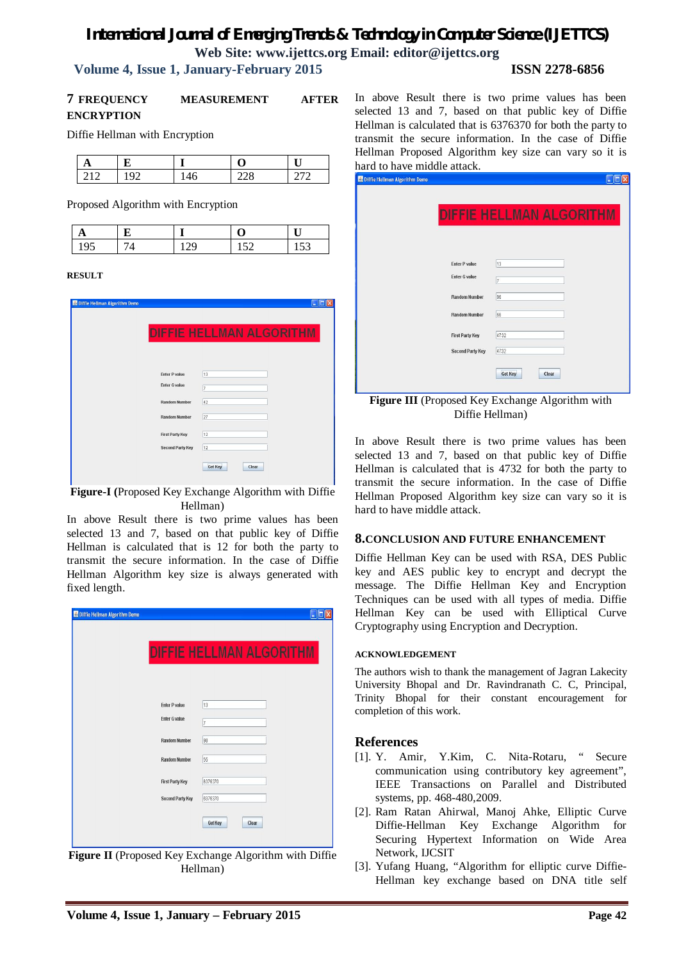# *International Journal of Emerging Trends & Technology in Computer Science (IJETTCS)* **Web Site: www.ijettcs.org Email: editor@ijettcs.org**

#### **Volume 4, Issue 1, January-February 2015 ISSN 2278-6856**

#### **7 FREQUENCY MEASUREMENT AFTER ENCRYPTION**

Diffie Hellman with Encryption

| ▵ |   |  |  |
|---|---|--|--|
|   | ч |  |  |

Proposed Algorithm with Encryption

| ∽ |  | ⊥ັ |
|---|--|----|

#### **RESULT**

| Diffie Hellman Algorithm Demo |                                 |
|-------------------------------|---------------------------------|
|                               |                                 |
|                               | <b>DIFFIE HELLMAN ALGORITHM</b> |
|                               |                                 |
|                               |                                 |
|                               |                                 |
| <b>Enter P value</b>          | 13                              |
| <b>Enter G value</b>          | 7                               |
| <b>Random Number</b>          | 42                              |
| <b>Random Number</b>          | 27                              |
| <b>First Party Key</b>        | 12                              |
| <b>Second Party Key</b>       | 12                              |
|                               |                                 |
|                               | <b>Get Key</b><br>Clear         |
|                               |                                 |

**Figure-I (**Proposed Key Exchange Algorithm with Diffie Hellman)

In above Result there is two prime values has been selected 13 and 7, based on that public key of Diffie Hellman is calculated that is 12 for both the party to transmit the secure information. In the case of Diffie Hellman Algorithm key size is always generated with fixed length.

|                         | <b>DIFFIE HELLMAN ALGORITHM</b> |  |
|-------------------------|---------------------------------|--|
|                         |                                 |  |
|                         |                                 |  |
| <b>Enter P value</b>    | 13                              |  |
| <b>Enter G value</b>    | 17                              |  |
| <b>Random Number</b>    | 98                              |  |
| <b>Random Number</b>    | 55                              |  |
| <b>First Party Key</b>  | 6376370                         |  |
| <b>Second Party Key</b> | 6376370                         |  |
|                         | Get Key<br>Clear                |  |
|                         |                                 |  |

**Figure II** (Proposed Key Exchange Algorithm with Diffie Hellman)

In above Result there is two prime values has been selected 13 and 7, based on that public key of Diffie Hellman is calculated that is 6376370 for both the party to transmit the secure information. In the case of Diffie Hellman Proposed Algorithm key size can vary so it is hard to have middle attack.

| Diffie Hellman Algorithm Demo |                                              |                                 | ler<br>н |
|-------------------------------|----------------------------------------------|---------------------------------|----------|
|                               |                                              | <b>DIFFIE HELLMAN ALGORITHM</b> |          |
|                               | <b>Enter P value</b><br><b>Enter G value</b> | 13<br>7                         |          |
|                               | <b>Random Number</b>                         | 96                              |          |
|                               | <b>Random Number</b>                         | 66                              |          |
|                               | <b>First Party Key</b>                       | 4732                            |          |
|                               | <b>Second Party Key</b>                      | 4732                            |          |
|                               |                                              | <b>Get Key</b><br>Clear         |          |

**Figure III** (Proposed Key Exchange Algorithm with Diffie Hellman)

In above Result there is two prime values has been selected 13 and 7, based on that public key of Diffie Hellman is calculated that is 4732 for both the party to transmit the secure information. In the case of Diffie Hellman Proposed Algorithm key size can vary so it is hard to have middle attack.

#### **8.CONCLUSION AND FUTURE ENHANCEMENT**

Diffie Hellman Key can be used with RSA, DES Public key and AES public key to encrypt and decrypt the message. The Diffie Hellman Key and Encryption Techniques can be used with all types of media. Diffie Hellman Key can be used with Elliptical Curve Cryptography using Encryption and Decryption.

#### **ACKNOWLEDGEMENT**

The authors wish to thank the management of Jagran Lakecity University Bhopal and Dr. Ravindranath C. C, Principal, Trinity Bhopal for their constant encouragement for completion of this work.

#### **References**

- [1]. Y. Amir, Y.Kim, C. Nita-Rotaru, " Secure communication using contributory key agreement", IEEE Transactions on Parallel and Distributed systems, pp. 468-480,2009.
- [2]. Ram Ratan Ahirwal, Manoj Ahke, Elliptic Curve Diffie-Hellman Key Exchange Algorithm for Securing Hypertext Information on Wide Area Network, IJCSIT
- [3]. Yufang Huang, "Algorithm for elliptic curve Diffie-Hellman key exchange based on DNA title self